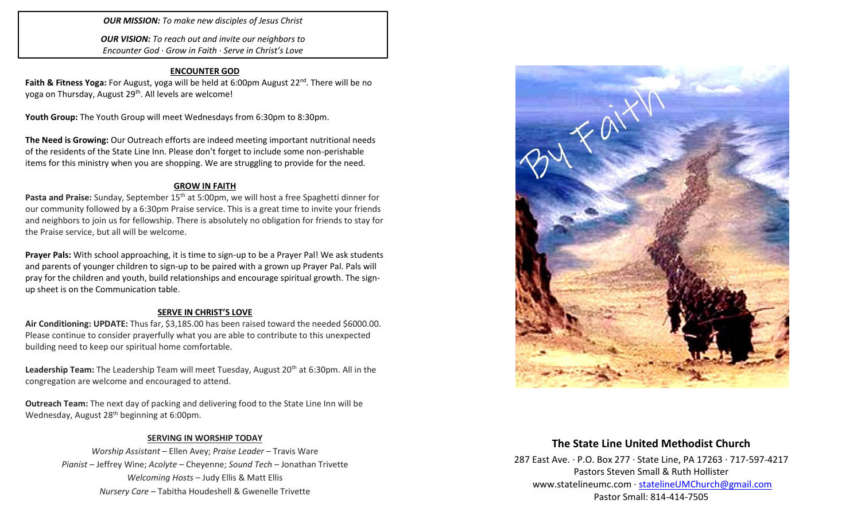*OUR MISSION: To make new disciples of Jesus Christ*

*OUR VISION: To reach out and invite our neighbors to Encounter God · Grow in Faith · Serve in Christ's Love*

#### **ENCOUNTER GOD**

Faith & Fitness Yoga: For August, yoga will be held at 6:00pm August 22<sup>nd</sup>. There will be no yoga on Thursday, August 29<sup>th</sup>. All levels are welcome!

**Youth Group:** The Youth Group will meet Wednesdays from 6:30pm to 8:30pm.

**The Need is Growing:** Our Outreach efforts are indeed meeting important nutritional needs of the residents of the State Line Inn. Please don't forget to include some non-perishable items for this ministry when you are shopping. We are struggling to provide for the need.

#### **GROW IN FAITH**

**Pasta and Praise:** Sunday, September 15th at 5:00pm, we will host a free Spaghetti dinner for our community followed by a 6:30pm Praise service. This is a great time to invite your friends and neighbors to join us for fellowship. There is absolutely no obligation for friends to stay for the Praise service, but all will be welcome.

**Prayer Pals:** With school approaching, it is time to sign-up to be a Prayer Pal! We ask students and parents of younger children to sign-up to be paired with a grown up Prayer Pal. Pals will pray for the children and youth, build relationships and encourage spiritual growth. The signup sheet is on the Communication table.

#### **SERVE IN CHRIST'S LOVE**

**Air Conditioning: UPDATE:** Thus far, \$3,185.00 has been raised toward the needed \$6000.00. Please continue to consider prayerfully what you are able to contribute to this unexpected building need to keep our spiritual home comfortable.

Leadership Team: The Leadership Team will meet Tuesday, August 20<sup>th</sup> at 6:30pm. All in the congregation are welcome and encouraged to attend.

**Outreach Team:** The next day of packing and delivering food to the State Line Inn will be Wednesday, August 28<sup>th</sup> beginning at 6:00pm.

### **SERVING IN WORSHIP TODAY**

*Worship Assistant* – Ellen Avey; *Praise Leader* – Travis Ware *Pianist* – Jeffrey Wine; *Acolyte* – Cheyenne; *Sound Tech* – Jonathan Trivette *Welcoming Hosts* – Judy Ellis & Matt Ellis *Nursery Care* – Tabitha Houdeshell & Gwenelle Trivette



## **The State Line United Methodist Church**

287 East Ave. · P.O. Box 277 · State Line, PA 17263 · 717-597-4217 Pastors Steven Small & Ruth Hollister [www.statelineumc.com](http://www.statelineumc.com/) · [statelineUMChurch@gmail.com](mailto:statelineUMChurch@gmail.com) Pastor Small: 814-414-7505